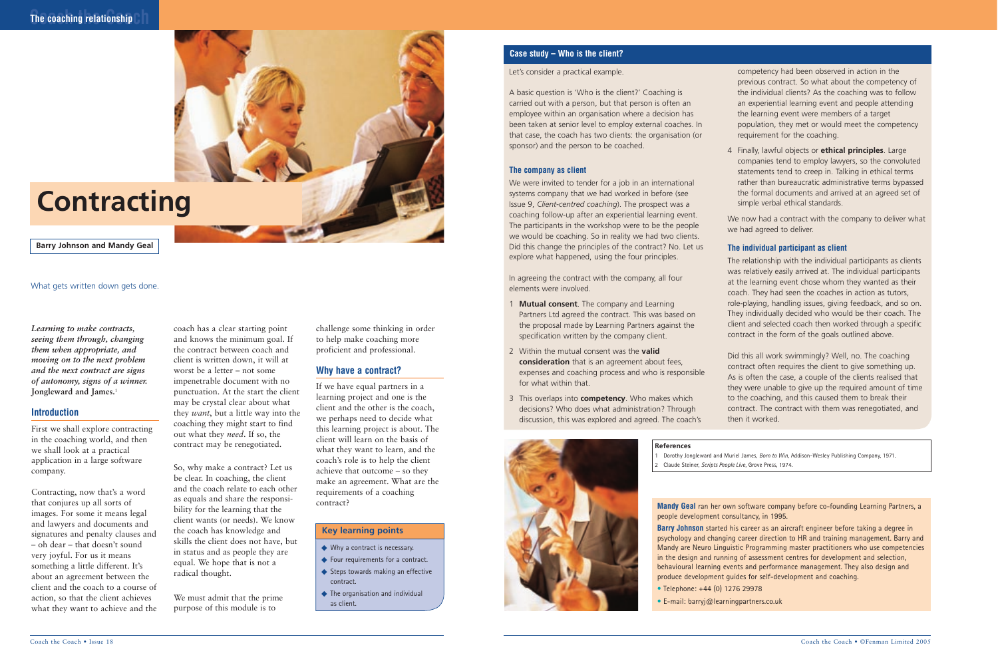**Barry Johnson and Mandy Geal**

### **The coaching relationship**



# **Contracting**

*Learning to make contracts, seeing them through, changing them when appropriate, and moving on to the next problem and the next contract are signs of autonomy, signs of a winner.* **Jongleward and James.**<sup>1</sup>

### **Introduction**

First we shall explore contracting in the coaching world, and then we shall look at a practical application in a large software company.

Contracting, now that's a word that conjures up all sorts of images. For some it means legal and lawyers and documents and signatures and penalty clauses and – oh dear – that doesn't sound very joyful. For us it means something a little different. It's about an agreement between the client and the coach to a course of action, so that the client achieves what they want to achieve and the coach has a clear starting point and knows the minimum goal. If the contract between coach and client is written down, it will at worst be a letter – not some impenetrable document with no punctuation. At the start the client may be crystal clear about what they *want*, but a little way into the coaching they might start to find out what they *need*. If so, the contract may be renegotiated.

> **Mandy Geal** ran her own software company before co-founding Learning Partners, a people development consultancy, in 1995.

So, why make a contract? Let us be clear. In coaching, the client and the coach relate to each other as equals and share the responsibility for the learning that the client wants (or needs). We know the coach has knowledge and skills the client does not have, but in status and as people they are equal. We hope that is not a radical thought.

- ◆ Why a contract is necessary.
- ◆ Four requirements for a contract.
- ◆ Steps towards making an effective contract.
- ◆ The organisation and individual as client.

We must admit that the prime purpose of this module is to

challenge some thinking in order to help make coaching more proficient and professional.

### **Why have a contract?**

If we have equal partners in a learning project and one is the client and the other is the coach, we perhaps need to decide what this learning project is about. The client will learn on the basis of what they want to learn, and the coach's role is to help the client achieve that outcome – so they make an agreement. What are the requirements of a coaching

> **Barry Johnson** started his career as an aircraft engineer before taking a degree in psychology and changing career direction to HR and training management. Barry and Mandy are Neuro Linguistic Programming master practitioners who use competencies in the design and running of assessment centres for development and selection, behavioural learning events and performance management. They also design and produce development guides for self-development and coaching. • Telephone: +44 (0) 1276 29978

• E-mail: barryj@learningpartners.co.uk

#### **References**

1 Dorothy Jongleward and Muriel James, *Born to Win*, Addison-Wesley Publishing Company, 1971. 2 Claude Steiner, *Scripts People Live*, Grove Press, 1974.

### What gets written down gets done.

### **Key learning points**

### Let's consider a practical example.

A basic question is 'Who is the client?' Coaching is carried out with a person, but that person is often an employee within an organisation where a decision has been taken at senior level to employ external coaches. In that case, the coach has two clients: the organisation (or sponsor) and the person to be coached.

### **The company as client**

We were invited to tender for a job in an international systems company that we had worked in before (see Issue 9, *Client-centred coaching*). The prospect was a coaching follow-up after an experiential learning event. The participants in the workshop were to be the people we would be coaching. So in reality we had two clients. Did this change the principles of the contract? No. Let us explore what happened, using the four principles.

In agreeing the contract with the company, all four elements were involved.

- 1 **Mutual consent**. The company and Learning Partners Ltd agreed the contract. This was based on the proposal made by Learning Partners against the specification written by the company client.
- 2 Within the mutual consent was the **valid consideration** that is an agreement about fees, expenses and coaching process and who is responsible for what within that.
- 3 This overlaps into **competency**. Who makes which decisions? Who does what administration? Through discussion, this was explored and agreed. The coach's

competency had been observed in action in the previous contract. So what about the competency of the individual clients? As the coaching was to follow an experiential learning event and people attending the learning event were members of a target population, they met or would meet the competency requirement for the coaching.

4 Finally, lawful objects or **ethical principles**. Large companies tend to employ lawyers, so the convoluted statements tend to creep in. Talking in ethical terms rather than bureaucratic administrative terms bypassed the formal documents and arrived at an agreed set of

simple verbal ethical standards.

We now had a contract with the company to deliver what we had agreed to deliver.

### **The individual participant as client**

The relationship with the individual participants as clients was relatively easily arrived at. The individual participants at the learning event chose whom they wanted as their coach. They had seen the coaches in action as tutors, role-playing, handling issues, giving feedback, and so on. They individually decided who would be their coach. The client and selected coach then worked through a specific contract in the form of the goals outlined above.

Did this all work swimmingly? Well, no. The coaching contract often requires the client to give something up. As is often the case, a couple of the clients realised that they were unable to give up the required amount of time to the coaching, and this caused them to break their contract. The contract with them was renegotiated, and then it worked.



### **Case study – Who is the client?**